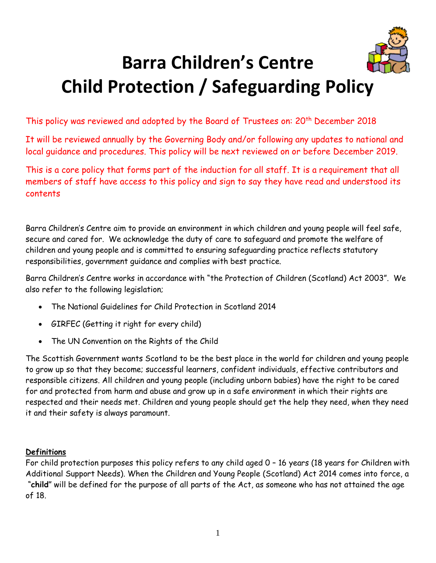

# **Barra Children's Centre Child Protection / Safeguarding Policy**

This policy was reviewed and adopted by the Board of Trustees on: 20<sup>th</sup> December 2018

It will be reviewed annually by the Governing Body and/or following any updates to national and local guidance and procedures. This policy will be next reviewed on or before December 2019.

This is a core policy that forms part of the induction for all staff. It is a requirement that all members of staff have access to this policy and sign to say they have read and understood its contents

Barra Children's Centre aim to provide an environment in which children and young people will feel safe, secure and cared for. We acknowledge the duty of care to safeguard and promote the welfare of children and young people and is committed to ensuring safeguarding practice reflects statutory responsibilities, government guidance and complies with best practice.

Barra Children's Centre works in accordance with "the Protection of Children (Scotland) Act 2003". We also refer to the following legislation;

- The National Guidelines for Child Protection in Scotland 2014
- GIRFEC (Getting it right for every child)
- The UN Convention on the Rights of the Child

The Scottish Government wants Scotland to be the best place in the world for children and young people to grow up so that they become; successful learners, confident individuals, effective contributors and responsible citizens. All children and young people (including unborn babies) have the right to be cared for and protected from harm and abuse and grow up in a safe environment in which their rights are respected and their needs met. Children and young people should get the help they need, when they need it and their safety is always paramount.

## **Definitions**

For child protection purposes this policy refers to any child aged 0 – 16 years (18 years for Children with Additional Support Needs). When the Children and Young People (Scotland) Act 2014 comes into force, a "**child**" will be defined for the purpose of all parts of the Act, as someone who has not attained the age of 18.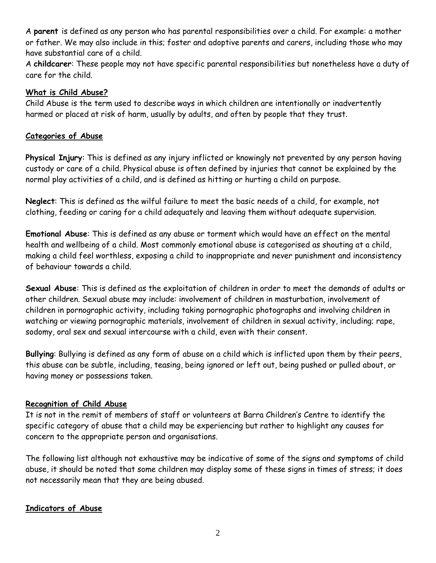A **parent** is defined as any person who has parental responsibilities over a child. For example: a mother or father. We may also include in this; foster and adoptive parents and carers, including those who may have substantial care of a child.

A **childcarer**: These people may not have specific parental responsibilities but nonetheless have a duty of care for the child.

## **What is Child Abuse?**

Child Abuse is the term used to describe ways in which children are intentionally or inadvertently harmed or placed at risk of harm, usually by adults, and often by people that they trust.

## **Categories of Abuse**

**Physical Injury**: This is defined as any injury inflicted or knowingly not prevented by any person having custody or care of a child. Physical abuse is often defined by injuries that cannot be explained by the normal play activities of a child, and is defined as hitting or hurting a child on purpose.

**Neglect**: This is defined as the wilful failure to meet the basic needs of a child, for example, not clothing, feeding or caring for a child adequately and leaving them without adequate supervision.

**Emotional Abuse**: This is defined as any abuse or torment which would have an effect on the mental health and wellbeing of a child. Most commonly emotional abuse is categorised as shouting at a child, making a child feel worthless, exposing a child to inappropriate and never punishment and inconsistency of behaviour towards a child.

**Sexual Abuse**: This is defined as the exploitation of children in order to meet the demands of adults or other children. Sexual abuse may include: involvement of children in masturbation, involvement of children in pornographic activity, including taking pornographic photographs and involving children in watching or viewing pornographic materials, involvement of children in sexual activity, including; rape, sodomy, oral sex and sexual intercourse with a child, even with their consent.

**Bullying**: Bullying is defined as any form of abuse on a child which is inflicted upon them by their peers, this abuse can be subtle, including, teasing, being ignored or left out, being pushed or pulled about, or having money or possessions taken.

## **Recognition of Child Abuse**

It is not in the remit of members of staff or volunteers at Barra Children's Centre to identify the specific category of abuse that a child may be experiencing but rather to highlight any causes for concern to the appropriate person and organisations.

The following list although not exhaustive may be indicative of some of the signs and symptoms of child abuse, it should be noted that some children may display some of these signs in times of stress; it does not necessarily mean that they are being abused.

## **Indicators of Abuse**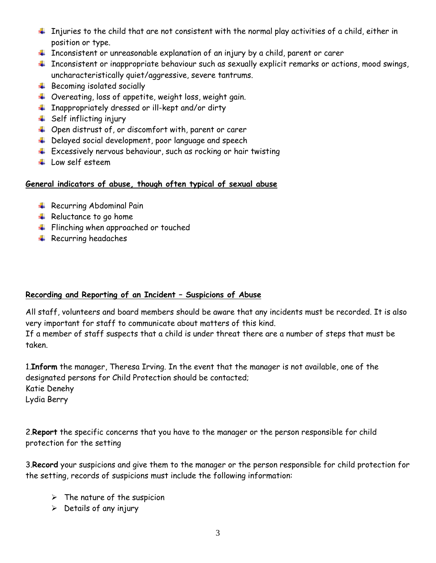- $\ddotplus$  Injuries to the child that are not consistent with the normal play activities of a child, either in position or type.
- $\ddot{+}$  Inconsistent or unreasonable explanation of an injury by a child, parent or carer
- $\ddot{+}$  Inconsistent or inappropriate behaviour such as sexually explicit remarks or actions, mood swings, uncharacteristically quiet/aggressive, severe tantrums.
- $\overline{\phantom{a} \bullet}$  Becoming isolated socially
- Overeating, loss of appetite, weight loss, weight gain.
- $\ddotplus$  Inappropriately dressed or ill-kept and/or dirty
- $\frac{1}{\sqrt{2}}$  Self inflicting injury
- $\downarrow$  Open distrust of, or discomfort with, parent or carer
- $\ddot{+}$  Delayed social development, poor language and speech
- $\pm$  Excessively nervous behaviour, such as rocking or hair twisting
- $\perp$  Low self esteem

## **General indicators of abuse, though often typical of sexual abuse**

- **A** Recurring Abdominal Pain
- $\textcolor{red}{\textbf{#}}$  Reluctance to go home
- $\frac{1}{\sqrt{2}}$  Flinching when approached or touched
- $\ddot{\bullet}$  Recurring headaches

# **Recording and Reporting of an Incident – Suspicions of Abuse**

All staff, volunteers and board members should be aware that any incidents must be recorded. It is also very important for staff to communicate about matters of this kind. If a member of staff suspects that a child is under threat there are a number of steps that must be taken.

1.**Inform** the manager, Theresa Irving. In the event that the manager is not available, one of the designated persons for Child Protection should be contacted; Katie Denehy Lydia Berry

2.**Report** the specific concerns that you have to the manager or the person responsible for child protection for the setting

3.**Record** your suspicions and give them to the manager or the person responsible for child protection for the setting, records of suspicions must include the following information:

- $\triangleright$  The nature of the suspicion
- $\triangleright$  Details of any injury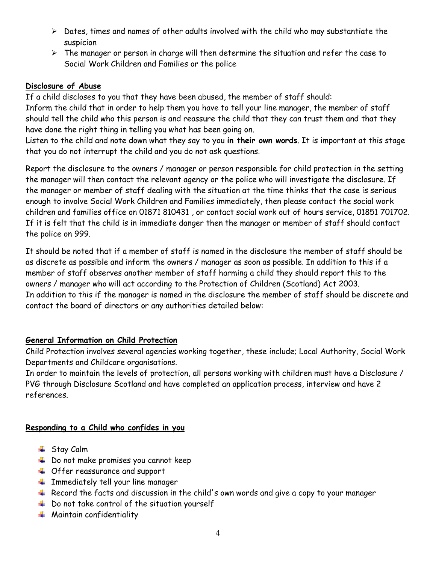- $\triangleright$  Dates, times and names of other adults involved with the child who may substantiate the suspicion
- $\triangleright$  The manager or person in charge will then determine the situation and refer the case to Social Work Children and Families or the police

## **Disclosure of Abuse**

If a child discloses to you that they have been abused, the member of staff should: Inform the child that in order to help them you have to tell your line manager, the member of staff should tell the child who this person is and reassure the child that they can trust them and that they have done the right thing in telling you what has been going on.

Listen to the child and note down what they say to you **in their own words**. It is important at this stage that you do not interrupt the child and you do not ask questions.

Report the disclosure to the owners / manager or person responsible for child protection in the setting the manager will then contact the relevant agency or the police who will investigate the disclosure. If the manager or member of staff dealing with the situation at the time thinks that the case is serious enough to involve Social Work Children and Families immediately, then please contact the social work children and families office on 01871 810431 , or contact social work out of hours service, 01851 701702. If it is felt that the child is in immediate danger then the manager or member of staff should contact the police on 999.

It should be noted that if a member of staff is named in the disclosure the member of staff should be as discrete as possible and inform the owners / manager as soon as possible. In addition to this if a member of staff observes another member of staff harming a child they should report this to the owners / manager who will act according to the Protection of Children (Scotland) Act 2003. In addition to this if the manager is named in the disclosure the member of staff should be discrete and contact the board of directors or any authorities detailed below:

## **General Information on Child Protection**

Child Protection involves several agencies working together, these include; Local Authority, Social Work Departments and Childcare organisations.

In order to maintain the levels of protection, all persons working with children must have a Disclosure / PVG through Disclosure Scotland and have completed an application process, interview and have 2 references.

## **Responding to a Child who confides in you**

- **↓** Stay Calm
- $\frac{1}{2}$  Do not make promises you cannot keep
- **↓** Offer reassurance and support
- $\ddot{\phantom{1}}$  Immediately tell your line manager
- $\ddot{+}$  Record the facts and discussion in the child's own words and give a copy to your manager
- $\ddotplus$  Do not take control of the situation yourself
- $\ddot{\bullet}$  Maintain confidentiality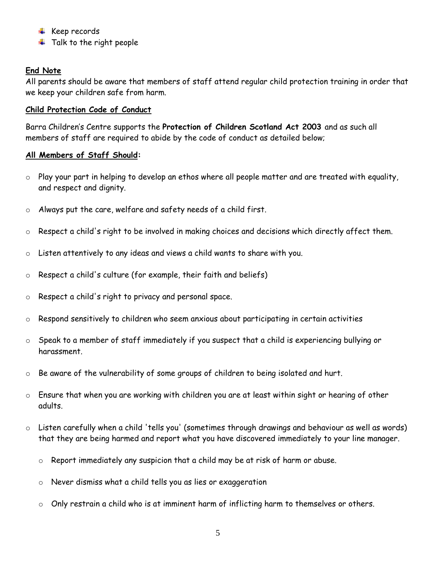- $\overline{\text{#}$  Keep records
- $\ddag$  Talk to the right people

## **End Note**

All parents should be aware that members of staff attend regular child protection training in order that we keep your children safe from harm.

## **Child Protection Code of Conduct**

Barra Children's Centre supports the **Protection of Children Scotland Act 2003** and as such all members of staff are required to abide by the code of conduct as detailed below;

## **All Members of Staff Should:**

- $\circ$  Play your part in helping to develop an ethos where all people matter and are treated with equality, and respect and dignity.
- o Always put the care, welfare and safety needs of a child first.
- $\circ$  Respect a child's right to be involved in making choices and decisions which directly affect them.
- o Listen attentively to any ideas and views a child wants to share with you.
- o Respect a child's culture (for example, their faith and beliefs)
- o Respect a child's right to privacy and personal space.
- o Respond sensitively to children who seem anxious about participating in certain activities
- o Speak to a member of staff immediately if you suspect that a child is experiencing bullying or harassment.
- o Be aware of the vulnerability of some groups of children to being isolated and hurt.
- $\circ$   $\;$  Ensure that when you are working with children you are at least within sight or hearing of other adults.
- o Listen carefully when a child 'tells you' (sometimes through drawings and behaviour as well as words) that they are being harmed and report what you have discovered immediately to your line manager.
	- o Report immediately any suspicion that a child may be at risk of harm or abuse.
	- o Never dismiss what a child tells you as lies or exaggeration
	- $\circ$  Only restrain a child who is at imminent harm of inflicting harm to themselves or others.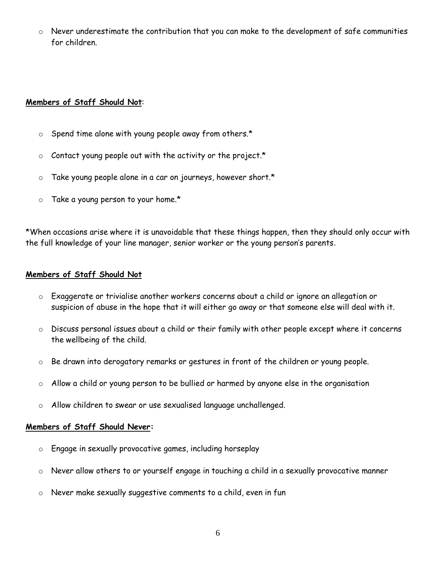Never underestimate the contribution that you can make to the development of safe communities for children.

## **Members of Staff Should Not**:

- o Spend time alone with young people away from others.\*
- $\circ$  Contact young people out with the activity or the project.\*
- $\circ$  Take young people alone in a car on journeys, however short.\*
- $\circ$  Take a young person to your home.\*

\*When occasions arise where it is unavoidable that these things happen, then they should only occur with the full knowledge of your line manager, senior worker or the young person's parents.

## **Members of Staff Should Not**

- $\circ$   $\;\;$  Exaggerate or trivialise another workers concerns about a child or ignore an allegation or suspicion of abuse in the hope that it will either go away or that someone else will deal with it.
- o Discuss personal issues about a child or their family with other people except where it concerns the wellbeing of the child.
- o Be drawn into derogatory remarks or gestures in front of the children or young people.
- o Allow a child or young person to be bullied or harmed by anyone else in the organisation
- o Allow children to swear or use sexualised language unchallenged.

## **Members of Staff Should Never:**

- o Engage in sexually provocative games, including horseplay
- o Never allow others to or yourself engage in touching a child in a sexually provocative manner
- o Never make sexually suggestive comments to a child, even in fun